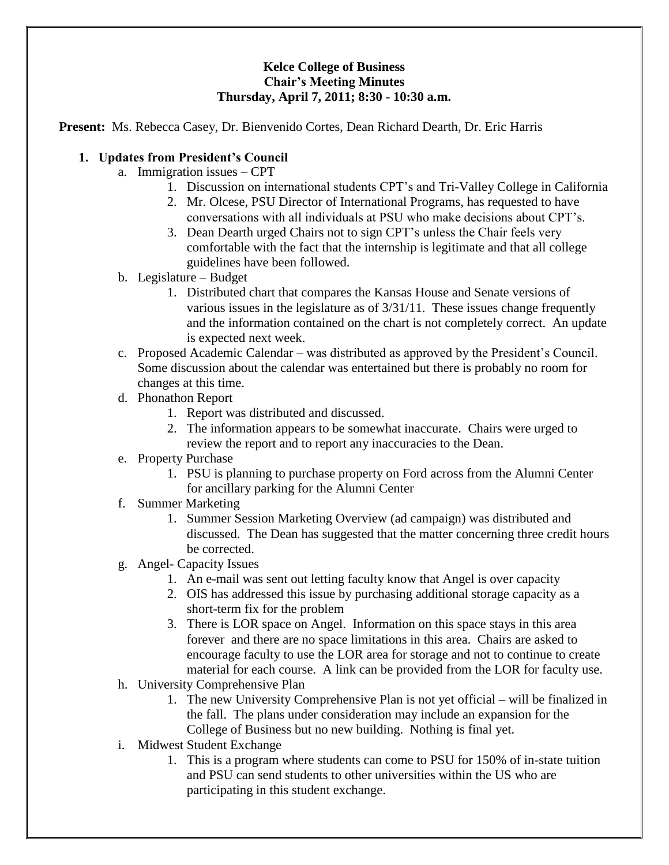### **Kelce College of Business Chair's Meeting Minutes Thursday, April 7, 2011; 8:30 - 10:30 a.m.**

**Present:** Ms. Rebecca Casey, Dr. Bienvenido Cortes, Dean Richard Dearth, Dr. Eric Harris

## **1. Updates from President's Council**

- a. Immigration issues CPT
	- 1. Discussion on international students CPT's and Tri-Valley College in California
	- 2. Mr. Olcese, PSU Director of International Programs, has requested to have conversations with all individuals at PSU who make decisions about CPT's.
	- 3. Dean Dearth urged Chairs not to sign CPT's unless the Chair feels very comfortable with the fact that the internship is legitimate and that all college guidelines have been followed.
- b. Legislature Budget
	- 1. Distributed chart that compares the Kansas House and Senate versions of various issues in the legislature as of 3/31/11. These issues change frequently and the information contained on the chart is not completely correct. An update is expected next week.
- c. Proposed Academic Calendar was distributed as approved by the President's Council. Some discussion about the calendar was entertained but there is probably no room for changes at this time.
- d. Phonathon Report
	- 1. Report was distributed and discussed.
	- 2. The information appears to be somewhat inaccurate. Chairs were urged to review the report and to report any inaccuracies to the Dean.
- e. Property Purchase
	- 1. PSU is planning to purchase property on Ford across from the Alumni Center for ancillary parking for the Alumni Center
- f. Summer Marketing
	- 1. Summer Session Marketing Overview (ad campaign) was distributed and discussed. The Dean has suggested that the matter concerning three credit hours be corrected.
- g. Angel- Capacity Issues
	- 1. An e-mail was sent out letting faculty know that Angel is over capacity
	- 2. OIS has addressed this issue by purchasing additional storage capacity as a short-term fix for the problem
	- 3. There is LOR space on Angel. Information on this space stays in this area forever and there are no space limitations in this area. Chairs are asked to encourage faculty to use the LOR area for storage and not to continue to create material for each course. A link can be provided from the LOR for faculty use.
- h. University Comprehensive Plan
	- 1. The new University Comprehensive Plan is not yet official will be finalized in the fall. The plans under consideration may include an expansion for the College of Business but no new building. Nothing is final yet.
- i. Midwest Student Exchange
	- 1. This is a program where students can come to PSU for 150% of in-state tuition and PSU can send students to other universities within the US who are participating in this student exchange.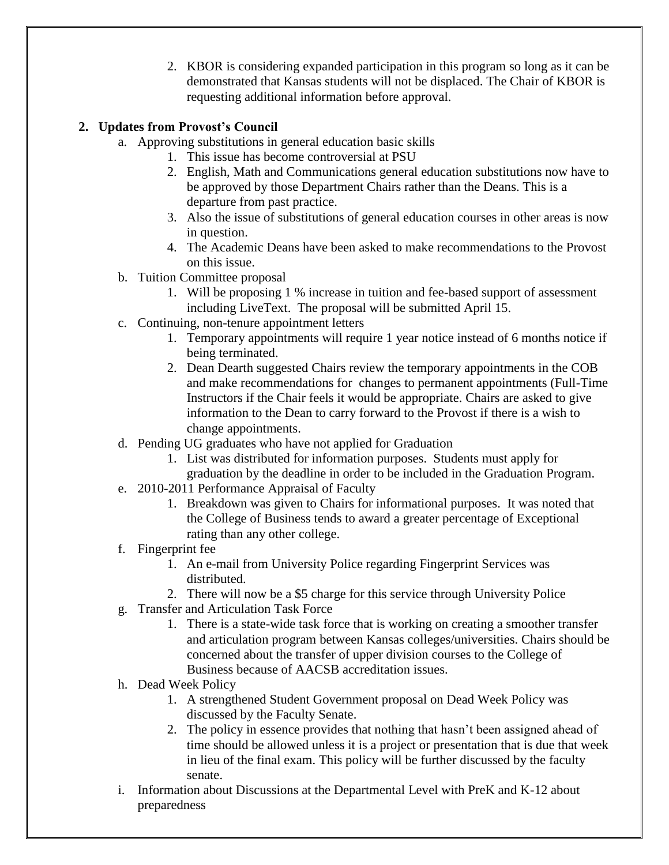2. KBOR is considering expanded participation in this program so long as it can be demonstrated that Kansas students will not be displaced. The Chair of KBOR is requesting additional information before approval.

# **2. Updates from Provost's Council**

- a. Approving substitutions in general education basic skills
	- 1. This issue has become controversial at PSU
	- 2. English, Math and Communications general education substitutions now have to be approved by those Department Chairs rather than the Deans. This is a departure from past practice.
	- 3. Also the issue of substitutions of general education courses in other areas is now in question.
	- 4. The Academic Deans have been asked to make recommendations to the Provost on this issue.
- b. Tuition Committee proposal
	- 1. Will be proposing 1 % increase in tuition and fee-based support of assessment including LiveText. The proposal will be submitted April 15.
- c. Continuing, non-tenure appointment letters
	- 1. Temporary appointments will require 1 year notice instead of 6 months notice if being terminated.
	- 2. Dean Dearth suggested Chairs review the temporary appointments in the COB and make recommendations for changes to permanent appointments (Full-Time Instructors if the Chair feels it would be appropriate. Chairs are asked to give information to the Dean to carry forward to the Provost if there is a wish to change appointments.
- d. Pending UG graduates who have not applied for Graduation
	- 1. List was distributed for information purposes. Students must apply for graduation by the deadline in order to be included in the Graduation Program.
- e. 2010-2011 Performance Appraisal of Faculty
	- 1. Breakdown was given to Chairs for informational purposes. It was noted that the College of Business tends to award a greater percentage of Exceptional rating than any other college.
- f. Fingerprint fee
	- 1. An e-mail from University Police regarding Fingerprint Services was distributed.
	- 2. There will now be a \$5 charge for this service through University Police
- g. Transfer and Articulation Task Force
	- 1. There is a state-wide task force that is working on creating a smoother transfer and articulation program between Kansas colleges/universities. Chairs should be concerned about the transfer of upper division courses to the College of Business because of AACSB accreditation issues.
- h. Dead Week Policy
	- 1. A strengthened Student Government proposal on Dead Week Policy was discussed by the Faculty Senate.
	- 2. The policy in essence provides that nothing that hasn't been assigned ahead of time should be allowed unless it is a project or presentation that is due that week in lieu of the final exam. This policy will be further discussed by the faculty senate.
- i. Information about Discussions at the Departmental Level with PreK and K-12 about preparedness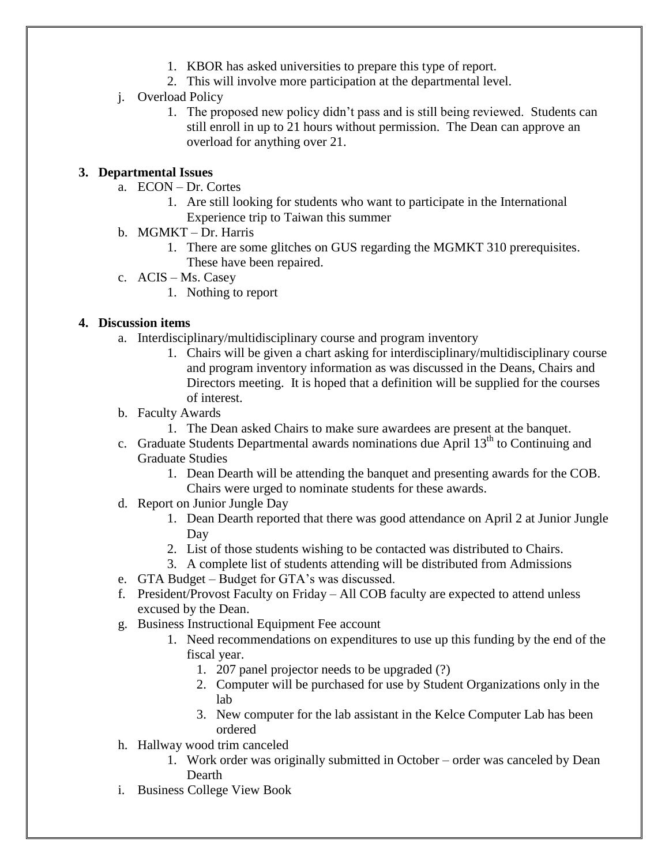- 1. KBOR has asked universities to prepare this type of report.
- 2. This will involve more participation at the departmental level.
- j. Overload Policy
	- 1. The proposed new policy didn't pass and is still being reviewed. Students can still enroll in up to 21 hours without permission. The Dean can approve an overload for anything over 21.

## **3. Departmental Issues**

- a. ECON Dr. Cortes
	- 1. Are still looking for students who want to participate in the International Experience trip to Taiwan this summer
- b. MGMKT Dr. Harris
	- 1. There are some glitches on GUS regarding the MGMKT 310 prerequisites. These have been repaired.
- c. ACIS Ms. Casey
	- 1. Nothing to report

# **4. Discussion items**

- a. Interdisciplinary/multidisciplinary course and program inventory
	- 1. Chairs will be given a chart asking for interdisciplinary/multidisciplinary course and program inventory information as was discussed in the Deans, Chairs and Directors meeting. It is hoped that a definition will be supplied for the courses of interest.
- b. Faculty Awards
	- 1. The Dean asked Chairs to make sure awardees are present at the banquet.
- c. Graduate Students Departmental awards nominations due April  $13<sup>th</sup>$  to Continuing and Graduate Studies
	- 1. Dean Dearth will be attending the banquet and presenting awards for the COB. Chairs were urged to nominate students for these awards.
- d. Report on Junior Jungle Day
	- 1. Dean Dearth reported that there was good attendance on April 2 at Junior Jungle Day
	- 2. List of those students wishing to be contacted was distributed to Chairs.
	- 3. A complete list of students attending will be distributed from Admissions
- e. GTA Budget Budget for GTA's was discussed.
- f. President/Provost Faculty on Friday All COB faculty are expected to attend unless excused by the Dean.
- g. Business Instructional Equipment Fee account
	- 1. Need recommendations on expenditures to use up this funding by the end of the fiscal year.
		- 1. 207 panel projector needs to be upgraded (?)
		- 2. Computer will be purchased for use by Student Organizations only in the lab
		- 3. New computer for the lab assistant in the Kelce Computer Lab has been ordered
- h. Hallway wood trim canceled
	- 1. Work order was originally submitted in October order was canceled by Dean Dearth
- i. Business College View Book